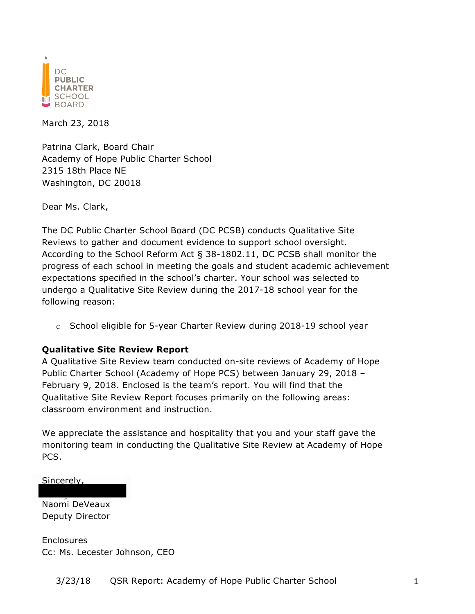

March 23, 2018

Patrina Clark, Board Chair Academy of Hope Public Charter School 2315 18th Place NE Washington, DC 20018

Dear Ms. Clark,

The DC Public Charter School Board (DC PCSB) conducts Qualitative Site Reviews to gather and document evidence to support school oversight. According to the School Reform Act § 38-1802.11, DC PCSB shall monitor the progress of each school in meeting the goals and student academic achievement expectations specified in the school's charter. Your school was selected to undergo a Qualitative Site Review during the 2017-18 school year for the following reason:

 $\circ$  School eligible for 5-year Charter Review during 2018-19 school year

#### **Qualitative Site Review Report**

A Qualitative Site Review team conducted on-site reviews of Academy of Hope Public Charter School (Academy of Hope PCS) between January 29, 2018 – February 9, 2018. Enclosed is the team's report. You will find that the Qualitative Site Review Report focuses primarily on the following areas: classroom environment and instruction.

We appreciate the assistance and hospitality that you and your staff gave the monitoring team in conducting the Qualitative Site Review at Academy of Hope PCS.

Sincerely,

Naomi DeVeaux Deputy Director

**Enclosures** Cc: Ms. Lecester Johnson, CEO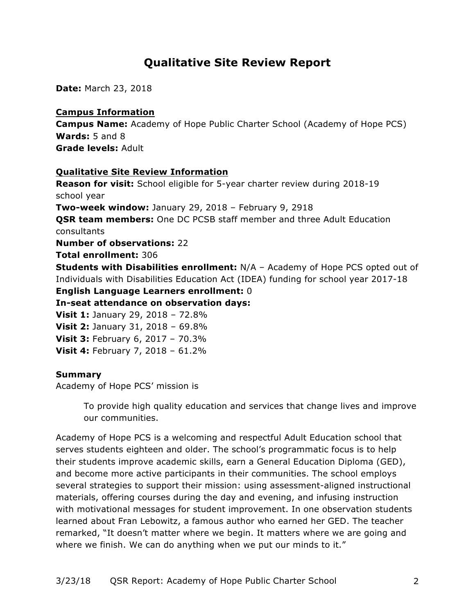# **Qualitative Site Review Report**

**Date:** March 23, 2018

### **Campus Information**

**Campus Name:** Academy of Hope Public Charter School (Academy of Hope PCS) **Wards:** 5 and 8 **Grade levels:** Adult

## **Qualitative Site Review Information**

**Reason for visit:** School eligible for 5-year charter review during 2018-19 school year **Two-week window:** January 29, 2018 – February 9, 2918 **QSR team members:** One DC PCSB staff member and three Adult Education consultants **Number of observations:** 22 **Total enrollment:** 306 **Students with Disabilities enrollment:** N/A – Academy of Hope PCS opted out of Individuals with Disabilities Education Act (IDEA) funding for school year 2017-18 **English Language Learners enrollment:** 0 **In-seat attendance on observation days: Visit 1:** January 29, 2018 – 72.8% **Visit 2:** January 31, 2018 – 69.8% **Visit 3:** February 6, 2017 – 70.3% **Visit 4:** February 7, 2018 – 61.2%

#### **Summary**

Academy of Hope PCS' mission is

To provide high quality education and services that change lives and improve our communities.

Academy of Hope PCS is a welcoming and respectful Adult Education school that serves students eighteen and older. The school's programmatic focus is to help their students improve academic skills, earn a General Education Diploma (GED), and become more active participants in their communities. The school employs several strategies to support their mission: using assessment-aligned instructional materials, offering courses during the day and evening, and infusing instruction with motivational messages for student improvement. In one observation students learned about Fran Lebowitz, a famous author who earned her GED. The teacher remarked, "It doesn't matter where we begin. It matters where we are going and where we finish. We can do anything when we put our minds to it."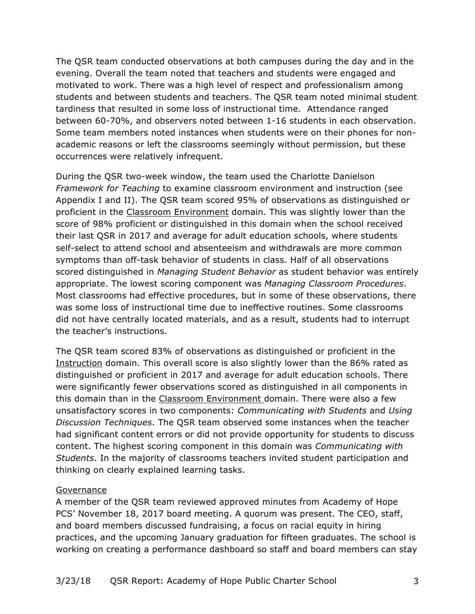The QSR team conducted observations at both campuses during the day and in the evening. Overall the team noted that teachers and students were engaged and motivated to work. There was a high level of respect and professionalism among students and between students and teachers. The QSR team noted minimal student tardiness that resulted in some loss of instructional time. Attendance ranged between 60-70%, and observers noted between 1-16 students in each observation. Some team members noted instances when students were on their phones for nonacademic reasons or left the classrooms seemingly without permission, but these occurrences were relatively infrequent.

During the QSR two-week window, the team used the Charlotte Danielson *Framework for Teaching* to examine classroom environment and instruction (see Appendix I and II). The QSR team scored 95% of observations as distinguished or proficient in the Classroom Environment domain. This was slightly lower than the score of 98% proficient or distinguished in this domain when the school received their last QSR in 2017 and average for adult education schools, where students self-select to attend school and absenteeism and withdrawals are more common symptoms than off-task behavior of students in class. Half of all observations scored distinguished in *Managing Student Behavior* as student behavior was entirely appropriate. The lowest scoring component was *Managing Classroom Procedures*. Most classrooms had effective procedures, but in some of these observations, there was some loss of instructional time due to ineffective routines. Some classrooms did not have centrally located materials, and as a result, students had to interrupt the teacher's instructions.

The QSR team scored 83% of observations as distinguished or proficient in the Instruction domain. This overall score is also slightly lower than the 86% rated as distinguished or proficient in 2017 and average for adult education schools. There were significantly fewer observations scored as distinguished in all components in this domain than in the Classroom Environment domain. There were also a few unsatisfactory scores in two components: *Communicating with Students* and *Using Discussion Techniques*. The QSR team observed some instances when the teacher had significant content errors or did not provide opportunity for students to discuss content. The highest scoring component in this domain was *Communicating with Students*. In the majority of classrooms teachers invited student participation and thinking on clearly explained learning tasks.

#### Governance

A member of the QSR team reviewed approved minutes from Academy of Hope PCS' November 18, 2017 board meeting. A quorum was present. The CEO, staff, and board members discussed fundraising, a focus on racial equity in hiring practices, and the upcoming January graduation for fifteen graduates. The school is working on creating a performance dashboard so staff and board members can stay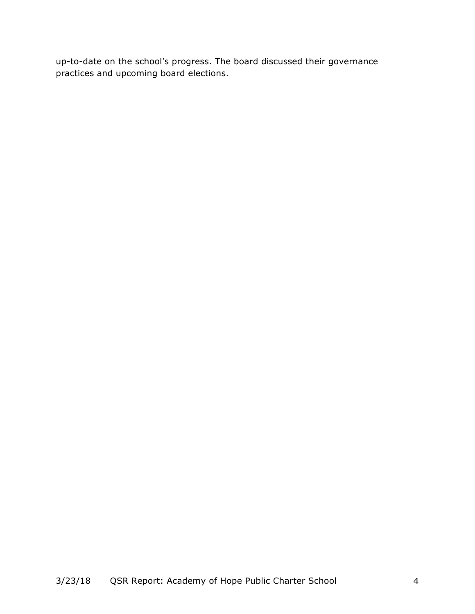up-to-date on the school's progress. The board discussed their governance practices and upcoming board elections.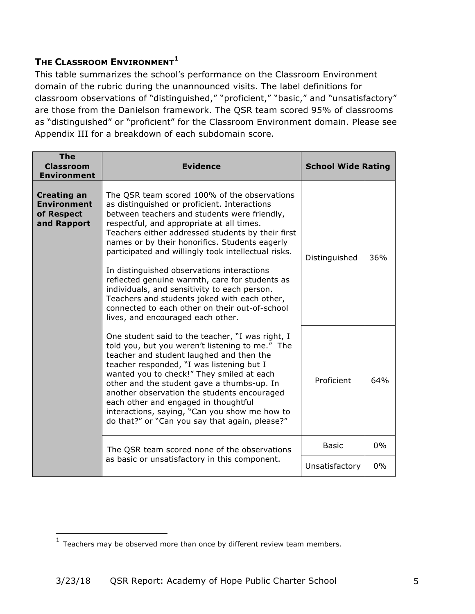## **THE CLASSROOM ENVIRONMENT<sup>1</sup>**

This table summarizes the school's performance on the Classroom Environment domain of the rubric during the unannounced visits. The label definitions for classroom observations of "distinguished," "proficient," "basic," and "unsatisfactory" are those from the Danielson framework. The QSR team scored 95% of classrooms as "distinguished" or "proficient" for the Classroom Environment domain. Please see Appendix III for a breakdown of each subdomain score.

| <b>The</b><br><b>Classroom</b><br><b>Environment</b>                  | <b>Evidence</b>                                                                                                                                                                                                                                                                                                                                                                                                                                                                                                                                                                                                                                | <b>School Wide Rating</b> |       |  |
|-----------------------------------------------------------------------|------------------------------------------------------------------------------------------------------------------------------------------------------------------------------------------------------------------------------------------------------------------------------------------------------------------------------------------------------------------------------------------------------------------------------------------------------------------------------------------------------------------------------------------------------------------------------------------------------------------------------------------------|---------------------------|-------|--|
| <b>Creating an</b><br><b>Environment</b><br>of Respect<br>and Rapport | The QSR team scored 100% of the observations<br>as distinguished or proficient. Interactions<br>between teachers and students were friendly,<br>respectful, and appropriate at all times.<br>Teachers either addressed students by their first<br>names or by their honorifics. Students eagerly<br>participated and willingly took intellectual risks.<br>In distinguished observations interactions<br>reflected genuine warmth, care for students as<br>individuals, and sensitivity to each person.<br>Teachers and students joked with each other,<br>connected to each other on their out-of-school<br>lives, and encouraged each other. |                           | 36%   |  |
|                                                                       | One student said to the teacher, "I was right, I<br>told you, but you weren't listening to me." The<br>teacher and student laughed and then the<br>teacher responded, "I was listening but I<br>wanted you to check!" They smiled at each<br>other and the student gave a thumbs-up. In<br>another observation the students encouraged<br>each other and engaged in thoughtful<br>interactions, saying, "Can you show me how to<br>do that?" or "Can you say that again, please?"                                                                                                                                                              | Proficient                | 64%   |  |
|                                                                       | The QSR team scored none of the observations                                                                                                                                                                                                                                                                                                                                                                                                                                                                                                                                                                                                   | <b>Basic</b>              | $0\%$ |  |
| as basic or unsatisfactory in this component.                         |                                                                                                                                                                                                                                                                                                                                                                                                                                                                                                                                                                                                                                                | Unsatisfactory            | 0%    |  |

<u> 1989 - Johann Stein, marwolaethau a bh</u>

 $1$  Teachers may be observed more than once by different review team members.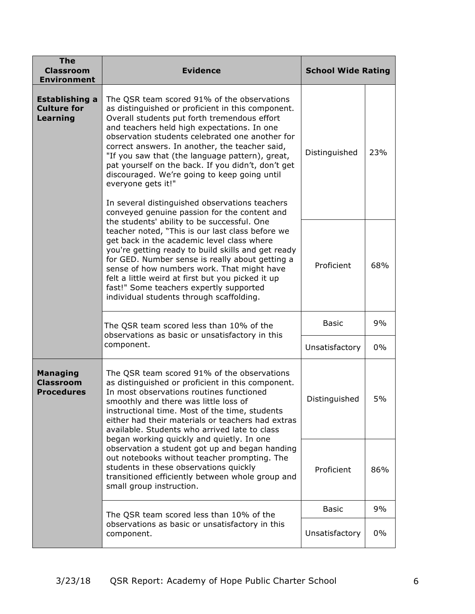| <b>The</b><br><b>Classroom</b><br><b>Environment</b>                                                                                                                                                                                                                                                                                                                                                      | <b>Evidence</b>                                                                                                                                                                                                                                                       | <b>School Wide Rating</b> |     |
|-----------------------------------------------------------------------------------------------------------------------------------------------------------------------------------------------------------------------------------------------------------------------------------------------------------------------------------------------------------------------------------------------------------|-----------------------------------------------------------------------------------------------------------------------------------------------------------------------------------------------------------------------------------------------------------------------|---------------------------|-----|
| <b>Establishing a</b><br><b>Culture for</b><br><b>Learning</b>                                                                                                                                                                                                                                                                                                                                            | Distinguished                                                                                                                                                                                                                                                         | 23%                       |     |
|                                                                                                                                                                                                                                                                                                                                                                                                           | Proficient                                                                                                                                                                                                                                                            | 68%                       |     |
|                                                                                                                                                                                                                                                                                                                                                                                                           | The QSR team scored less than 10% of the<br>observations as basic or unsatisfactory in this                                                                                                                                                                           |                           | 9%  |
| component.                                                                                                                                                                                                                                                                                                                                                                                                |                                                                                                                                                                                                                                                                       | Unsatisfactory            | 0%  |
| <b>Managing</b><br>The QSR team scored 91% of the observations<br><b>Classroom</b><br>as distinguished or proficient in this component.<br>In most observations routines functioned<br><b>Procedures</b><br>smoothly and there was little loss of<br>instructional time. Most of the time, students<br>either had their materials or teachers had extras<br>available. Students who arrived late to class |                                                                                                                                                                                                                                                                       | Distinguished             | 5%  |
|                                                                                                                                                                                                                                                                                                                                                                                                           | began working quickly and quietly. In one<br>observation a student got up and began handing<br>out notebooks without teacher prompting. The<br>students in these observations quickly<br>transitioned efficiently between whole group and<br>small group instruction. | Proficient                | 86% |
|                                                                                                                                                                                                                                                                                                                                                                                                           | The QSR team scored less than 10% of the                                                                                                                                                                                                                              | <b>Basic</b>              | 9%  |
| observations as basic or unsatisfactory in this<br>component.                                                                                                                                                                                                                                                                                                                                             |                                                                                                                                                                                                                                                                       | Unsatisfactory            | 0%  |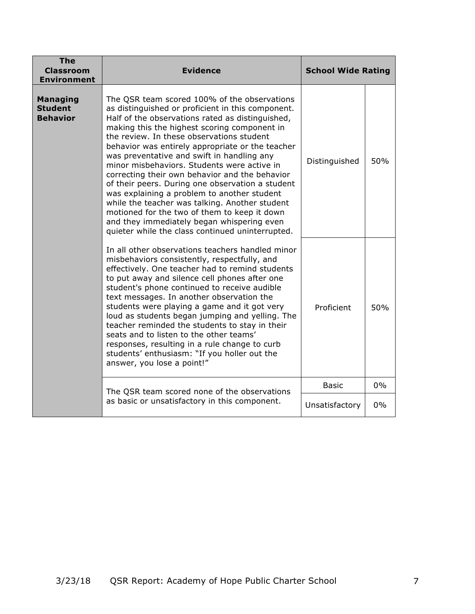| <b>The</b><br><b>Classroom</b><br><b>Environment</b>                                          | <b>Evidence</b>                                                                                                                                                                                                                                                                                                                                                                                                                                                                                                                                                                                                                                                                                                                                              | <b>School Wide Rating</b> |     |
|-----------------------------------------------------------------------------------------------|--------------------------------------------------------------------------------------------------------------------------------------------------------------------------------------------------------------------------------------------------------------------------------------------------------------------------------------------------------------------------------------------------------------------------------------------------------------------------------------------------------------------------------------------------------------------------------------------------------------------------------------------------------------------------------------------------------------------------------------------------------------|---------------------------|-----|
| <b>Managing</b><br><b>Student</b><br><b>Behavior</b>                                          | The QSR team scored 100% of the observations<br>as distinguished or proficient in this component.<br>Half of the observations rated as distinguished,<br>making this the highest scoring component in<br>the review. In these observations student<br>behavior was entirely appropriate or the teacher<br>was preventative and swift in handling any<br>minor misbehaviors. Students were active in<br>correcting their own behavior and the behavior<br>of their peers. During one observation a student<br>was explaining a problem to another student<br>while the teacher was talking. Another student<br>motioned for the two of them to keep it down<br>and they immediately began whispering even<br>quieter while the class continued uninterrupted. |                           | 50% |
|                                                                                               | In all other observations teachers handled minor<br>misbehaviors consistently, respectfully, and<br>effectively. One teacher had to remind students<br>to put away and silence cell phones after one<br>student's phone continued to receive audible<br>text messages. In another observation the<br>students were playing a game and it got very<br>loud as students began jumping and yelling. The<br>teacher reminded the students to stay in their<br>seats and to listen to the other teams'<br>responses, resulting in a rule change to curb<br>students' enthusiasm: "If you holler out the<br>answer, you lose a point!"                                                                                                                             | Proficient                | 50% |
| The QSR team scored none of the observations<br>as basic or unsatisfactory in this component. |                                                                                                                                                                                                                                                                                                                                                                                                                                                                                                                                                                                                                                                                                                                                                              | <b>Basic</b>              | 0%  |
|                                                                                               |                                                                                                                                                                                                                                                                                                                                                                                                                                                                                                                                                                                                                                                                                                                                                              | Unsatisfactory            | 0%  |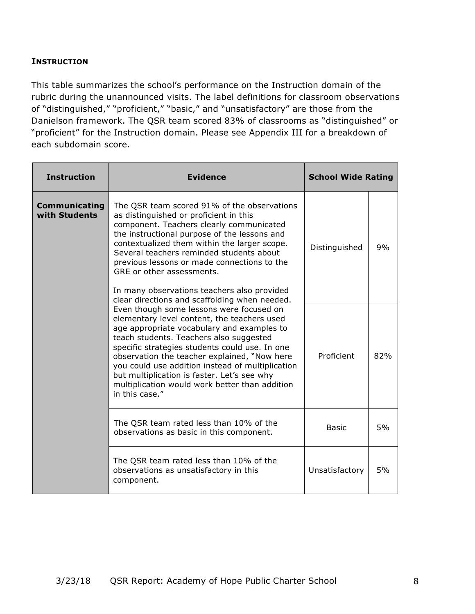#### **INSTRUCTION**

This table summarizes the school's performance on the Instruction domain of the rubric during the unannounced visits. The label definitions for classroom observations of "distinguished," "proficient," "basic," and "unsatisfactory" are those from the Danielson framework. The QSR team scored 83% of classrooms as "distinguished" or "proficient" for the Instruction domain. Please see Appendix III for a breakdown of each subdomain score.

| <b>Instruction</b>                                                                                                                                                                                                                                                                                                                                                                                                                                        | <b>Evidence</b>                                                                                                                                                                                                                                                                                                                                                                                                                                           | <b>School Wide Rating</b> |     |
|-----------------------------------------------------------------------------------------------------------------------------------------------------------------------------------------------------------------------------------------------------------------------------------------------------------------------------------------------------------------------------------------------------------------------------------------------------------|-----------------------------------------------------------------------------------------------------------------------------------------------------------------------------------------------------------------------------------------------------------------------------------------------------------------------------------------------------------------------------------------------------------------------------------------------------------|---------------------------|-----|
| <b>Communicating</b><br>with Students                                                                                                                                                                                                                                                                                                                                                                                                                     | The QSR team scored 91% of the observations<br>as distinguished or proficient in this<br>component. Teachers clearly communicated<br>the instructional purpose of the lessons and<br>contextualized them within the larger scope.<br>Several teachers reminded students about<br>previous lessons or made connections to the<br>GRE or other assessments.<br>In many observations teachers also provided<br>clear directions and scaffolding when needed. |                           | 9%  |
| Even though some lessons were focused on<br>elementary level content, the teachers used<br>age appropriate vocabulary and examples to<br>teach students. Teachers also suggested<br>specific strategies students could use. In one<br>observation the teacher explained, "Now here<br>you could use addition instead of multiplication<br>but multiplication is faster. Let's see why<br>multiplication would work better than addition<br>in this case." |                                                                                                                                                                                                                                                                                                                                                                                                                                                           | Proficient                | 82% |
|                                                                                                                                                                                                                                                                                                                                                                                                                                                           | The QSR team rated less than 10% of the<br>observations as basic in this component.                                                                                                                                                                                                                                                                                                                                                                       | <b>Basic</b>              | 5%  |
|                                                                                                                                                                                                                                                                                                                                                                                                                                                           | The QSR team rated less than 10% of the<br>observations as unsatisfactory in this<br>component.                                                                                                                                                                                                                                                                                                                                                           | Unsatisfactory            | 5%  |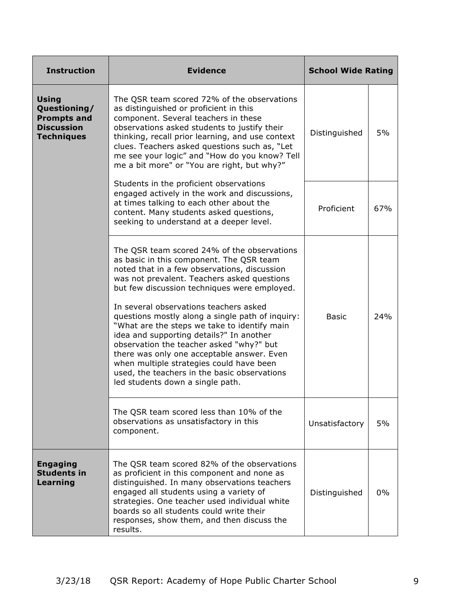| <b>Instruction</b>                                                                           | <b>Evidence</b>                                                                                                                                                                                                                                                                                                                                                                                                  | <b>School Wide Rating</b> |     |
|----------------------------------------------------------------------------------------------|------------------------------------------------------------------------------------------------------------------------------------------------------------------------------------------------------------------------------------------------------------------------------------------------------------------------------------------------------------------------------------------------------------------|---------------------------|-----|
| <b>Using</b><br>Questioning/<br><b>Prompts and</b><br><b>Discussion</b><br><b>Techniques</b> | The QSR team scored 72% of the observations<br>as distinguished or proficient in this<br>component. Several teachers in these<br>observations asked students to justify their<br>thinking, recall prior learning, and use context<br>clues. Teachers asked questions such as, "Let<br>me see your logic" and "How do you know? Tell<br>me a bit more" or "You are right, but why?"                               | Distinguished             | 5%  |
|                                                                                              | Students in the proficient observations<br>engaged actively in the work and discussions,<br>at times talking to each other about the<br>content. Many students asked questions,<br>seeking to understand at a deeper level.                                                                                                                                                                                      | Proficient                | 67% |
|                                                                                              | The QSR team scored 24% of the observations<br>as basic in this component. The QSR team<br>noted that in a few observations, discussion<br>was not prevalent. Teachers asked questions<br>but few discussion techniques were employed.                                                                                                                                                                           |                           |     |
|                                                                                              | In several observations teachers asked<br>questions mostly along a single path of inquiry:<br>"What are the steps we take to identify main<br>idea and supporting details?" In another<br>observation the teacher asked "why?" but<br>there was only one acceptable answer. Even<br>when multiple strategies could have been<br>used, the teachers in the basic observations<br>led students down a single path. | <b>Basic</b>              | 24% |
|                                                                                              | The QSR team scored less than 10% of the<br>observations as unsatisfactory in this<br>component.                                                                                                                                                                                                                                                                                                                 | Unsatisfactory            | 5%  |
| <b>Engaging</b><br><b>Students in</b><br>Learning                                            | The QSR team scored 82% of the observations<br>as proficient in this component and none as<br>distinguished. In many observations teachers<br>engaged all students using a variety of<br>strategies. One teacher used individual white<br>boards so all students could write their<br>responses, show them, and then discuss the<br>results.                                                                     | Distinguished             | 0%  |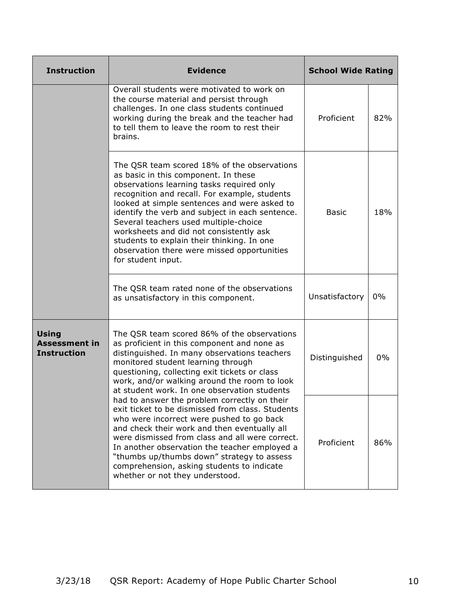| <b>Instruction</b>                                                                                                                                                                                                                                                                                                                                                                              | <b>Evidence</b><br><b>School Wide Rating</b>                                                                                                                                                                                                                                                                                                                                                                                     |               |     |  |  |
|-------------------------------------------------------------------------------------------------------------------------------------------------------------------------------------------------------------------------------------------------------------------------------------------------------------------------------------------------------------------------------------------------|----------------------------------------------------------------------------------------------------------------------------------------------------------------------------------------------------------------------------------------------------------------------------------------------------------------------------------------------------------------------------------------------------------------------------------|---------------|-----|--|--|
|                                                                                                                                                                                                                                                                                                                                                                                                 | Overall students were motivated to work on<br>the course material and persist through<br>challenges. In one class students continued<br>working during the break and the teacher had<br>to tell them to leave the room to rest their<br>brains.                                                                                                                                                                                  | Proficient    | 82% |  |  |
|                                                                                                                                                                                                                                                                                                                                                                                                 | <b>Basic</b>                                                                                                                                                                                                                                                                                                                                                                                                                     | 18%           |     |  |  |
|                                                                                                                                                                                                                                                                                                                                                                                                 | Unsatisfactory                                                                                                                                                                                                                                                                                                                                                                                                                   | $0\%$         |     |  |  |
| <b>Using</b><br>The QSR team scored 86% of the observations<br><b>Assessment in</b><br>as proficient in this component and none as<br><b>Instruction</b><br>distinguished. In many observations teachers<br>monitored student learning through<br>questioning, collecting exit tickets or class<br>work, and/or walking around the room to look<br>at student work. In one observation students |                                                                                                                                                                                                                                                                                                                                                                                                                                  | Distinguished | 0%  |  |  |
|                                                                                                                                                                                                                                                                                                                                                                                                 | had to answer the problem correctly on their<br>exit ticket to be dismissed from class. Students<br>who were incorrect were pushed to go back<br>and check their work and then eventually all<br>were dismissed from class and all were correct.<br>In another observation the teacher employed a<br>"thumbs up/thumbs down" strategy to assess<br>comprehension, asking students to indicate<br>whether or not they understood. | Proficient    | 86% |  |  |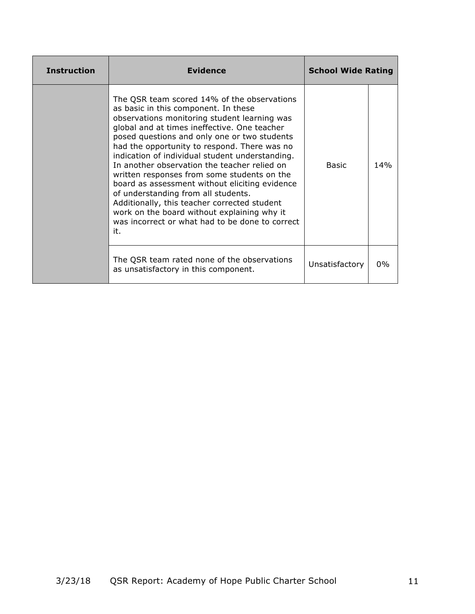| <b>Instruction</b> | <b>Evidence</b>                                                                                                                                                                                                                                                                                                                                                                                                                                                                                                                                                                                                                                                                         | <b>School Wide Rating</b> |     |
|--------------------|-----------------------------------------------------------------------------------------------------------------------------------------------------------------------------------------------------------------------------------------------------------------------------------------------------------------------------------------------------------------------------------------------------------------------------------------------------------------------------------------------------------------------------------------------------------------------------------------------------------------------------------------------------------------------------------------|---------------------------|-----|
|                    | The QSR team scored 14% of the observations<br>as basic in this component. In these<br>observations monitoring student learning was<br>global and at times ineffective. One teacher<br>posed questions and only one or two students<br>had the opportunity to respond. There was no<br>indication of individual student understanding.<br>In another observation the teacher relied on<br>written responses from some students on the<br>board as assessment without eliciting evidence<br>of understanding from all students.<br>Additionally, this teacher corrected student<br>work on the board without explaining why it<br>was incorrect or what had to be done to correct<br>it. | <b>Basic</b>              | 14% |
|                    | The QSR team rated none of the observations<br>as unsatisfactory in this component.                                                                                                                                                                                                                                                                                                                                                                                                                                                                                                                                                                                                     | Unsatisfactory            | 0%  |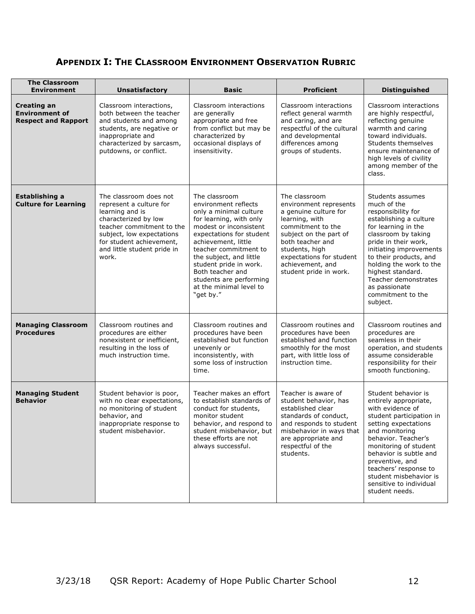## **APPENDIX I: THE CLASSROOM ENVIRONMENT OBSERVATION RUBRIC**

| <b>The Classroom</b><br><b>Environment</b>                                | <b>Unsatisfactory</b>                                                                                                                                                                                                      | <b>Basic</b>                                                                                                                                                                                                                                                                                                                                 | <b>Proficient</b>                                                                                                                                                                                                                                 | <b>Distinguished</b>                                                                                                                                                                                                                                                                                                                 |
|---------------------------------------------------------------------------|----------------------------------------------------------------------------------------------------------------------------------------------------------------------------------------------------------------------------|----------------------------------------------------------------------------------------------------------------------------------------------------------------------------------------------------------------------------------------------------------------------------------------------------------------------------------------------|---------------------------------------------------------------------------------------------------------------------------------------------------------------------------------------------------------------------------------------------------|--------------------------------------------------------------------------------------------------------------------------------------------------------------------------------------------------------------------------------------------------------------------------------------------------------------------------------------|
| <b>Creating an</b><br><b>Environment of</b><br><b>Respect and Rapport</b> | Classroom interactions,<br>both between the teacher<br>and students and among<br>students, are negative or<br>inappropriate and<br>characterized by sarcasm,<br>putdowns, or conflict.                                     | Classroom interactions<br>are generally<br>appropriate and free<br>from conflict but may be<br>characterized by<br>occasional displays of<br>insensitivity.                                                                                                                                                                                  | Classroom interactions<br>reflect general warmth<br>and caring, and are<br>respectful of the cultural<br>and developmental<br>differences among<br>groups of students.                                                                            | Classroom interactions<br>are highly respectful,<br>reflecting genuine<br>warmth and caring<br>toward individuals.<br>Students themselves<br>ensure maintenance of<br>high levels of civility<br>among member of the<br>class.                                                                                                       |
| <b>Establishing a</b><br><b>Culture for Learning</b>                      | The classroom does not<br>represent a culture for<br>learning and is<br>characterized by low<br>teacher commitment to the<br>subject, low expectations<br>for student achievement,<br>and little student pride in<br>work. | The classroom<br>environment reflects<br>only a minimal culture<br>for learning, with only<br>modest or inconsistent<br>expectations for student<br>achievement, little<br>teacher commitment to<br>the subject, and little<br>student pride in work.<br>Both teacher and<br>students are performing<br>at the minimal level to<br>"get by." | The classroom<br>environment represents<br>a genuine culture for<br>learning, with<br>commitment to the<br>subject on the part of<br>both teacher and<br>students, high<br>expectations for student<br>achievement, and<br>student pride in work. | Students assumes<br>much of the<br>responsibility for<br>establishing a culture<br>for learning in the<br>classroom by taking<br>pride in their work,<br>initiating improvements<br>to their products, and<br>holding the work to the<br>highest standard.<br>Teacher demonstrates<br>as passionate<br>commitment to the<br>subject. |
| <b>Managing Classroom</b><br><b>Procedures</b>                            | Classroom routines and<br>procedures are either<br>nonexistent or inefficient,<br>resulting in the loss of<br>much instruction time.                                                                                       | Classroom routines and<br>procedures have been<br>established but function<br>unevenly or<br>inconsistently, with<br>some loss of instruction<br>time.                                                                                                                                                                                       | Classroom routines and<br>procedures have been<br>established and function<br>smoothly for the most<br>part, with little loss of<br>instruction time.                                                                                             | Classroom routines and<br>procedures are<br>seamless in their<br>operation, and students<br>assume considerable<br>responsibility for their<br>smooth functioning.                                                                                                                                                                   |
| <b>Managing Student</b><br><b>Behavior</b>                                | Student behavior is poor,<br>with no clear expectations,<br>no monitoring of student<br>behavior, and<br>inappropriate response to<br>student misbehavior.                                                                 | Teacher makes an effort<br>to establish standards of<br>conduct for students,<br>monitor student<br>behavior, and respond to<br>student misbehavior, but<br>these efforts are not<br>always successful.                                                                                                                                      | Teacher is aware of<br>student behavior, has<br>established clear<br>standards of conduct,<br>and responds to student<br>misbehavior in ways that<br>are appropriate and<br>respectful of the<br>students.                                        | Student behavior is<br>entirely appropriate,<br>with evidence of<br>student participation in<br>setting expectations<br>and monitoring<br>behavior. Teacher's<br>monitoring of student<br>behavior is subtle and<br>preventive, and<br>teachers' response to<br>student misbehavior is<br>sensitive to individual<br>student needs.  |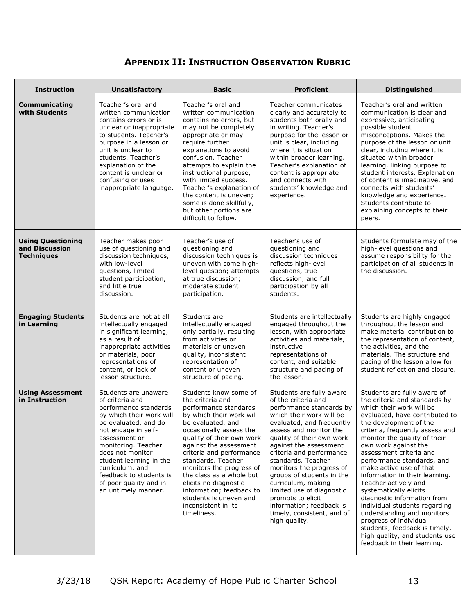## **APPENDIX II: INSTRUCTION OBSERVATION RUBRIC**

| <b>Instruction</b>                                              | <b>Unsatisfactory</b>                                                                                                                                                                                                                                                                                                             | <b>Basic</b>                                                                                                                                                                                                                                                                                                                                                                                                                         | <b>Proficient</b>                                                                                                                                                                                                                                                                                                                                                                                                                                                                   | <b>Distinguished</b>                                                                                                                                                                                                                                                                                                                                                                                                                                                                                                                                                                                                                              |
|-----------------------------------------------------------------|-----------------------------------------------------------------------------------------------------------------------------------------------------------------------------------------------------------------------------------------------------------------------------------------------------------------------------------|--------------------------------------------------------------------------------------------------------------------------------------------------------------------------------------------------------------------------------------------------------------------------------------------------------------------------------------------------------------------------------------------------------------------------------------|-------------------------------------------------------------------------------------------------------------------------------------------------------------------------------------------------------------------------------------------------------------------------------------------------------------------------------------------------------------------------------------------------------------------------------------------------------------------------------------|---------------------------------------------------------------------------------------------------------------------------------------------------------------------------------------------------------------------------------------------------------------------------------------------------------------------------------------------------------------------------------------------------------------------------------------------------------------------------------------------------------------------------------------------------------------------------------------------------------------------------------------------------|
| <b>Communicating</b><br>with Students                           | Teacher's oral and<br>written communication<br>contains errors or is<br>unclear or inappropriate<br>to students. Teacher's<br>purpose in a lesson or<br>unit is unclear to<br>students. Teacher's<br>explanation of the<br>content is unclear or<br>confusing or uses<br>inappropriate language.                                  | Teacher's oral and<br>written communication<br>contains no errors, but<br>may not be completely<br>appropriate or may<br>require further<br>explanations to avoid<br>confusion. Teacher<br>attempts to explain the<br>instructional purpose,<br>with limited success.<br>Teacher's explanation of<br>the content is uneven;<br>some is done skillfully,<br>but other portions are<br>difficult to follow.                            | Teacher communicates<br>clearly and accurately to<br>students both orally and<br>in writing. Teacher's<br>purpose for the lesson or<br>unit is clear, including<br>where it is situation<br>within broader learning.<br>Teacher's explanation of<br>content is appropriate<br>and connects with<br>students' knowledge and<br>experience.                                                                                                                                           | Teacher's oral and written<br>communication is clear and<br>expressive, anticipating<br>possible student<br>misconceptions. Makes the<br>purpose of the lesson or unit<br>clear, including where it is<br>situated within broader<br>learning, linking purpose to<br>student interests. Explanation<br>of content is imaginative, and<br>connects with students'<br>knowledge and experience.<br>Students contribute to<br>explaining concepts to their<br>peers.                                                                                                                                                                                 |
| <b>Using Questioning</b><br>and Discussion<br><b>Techniques</b> | Teacher makes poor<br>use of questioning and<br>discussion techniques,<br>with low-level<br>questions, limited<br>student participation,<br>and little true<br>discussion.                                                                                                                                                        | Teacher's use of<br>questioning and<br>discussion techniques is<br>uneven with some high-<br>level question; attempts<br>at true discussion;<br>moderate student<br>participation.                                                                                                                                                                                                                                                   | Teacher's use of<br>questioning and<br>discussion techniques<br>reflects high-level<br>questions, true<br>discussion, and full<br>participation by all<br>students.                                                                                                                                                                                                                                                                                                                 | Students formulate may of the<br>high-level questions and<br>assume responsibility for the<br>participation of all students in<br>the discussion.                                                                                                                                                                                                                                                                                                                                                                                                                                                                                                 |
| <b>Engaging Students</b><br>in Learning                         | Students are not at all<br>intellectually engaged<br>in significant learning,<br>as a result of<br>inappropriate activities<br>or materials, poor<br>representations of<br>content, or lack of<br>lesson structure.                                                                                                               | Students are<br>intellectually engaged<br>only partially, resulting<br>from activities or<br>materials or uneven<br>quality, inconsistent<br>representation of<br>content or uneven<br>structure of pacing.                                                                                                                                                                                                                          | Students are intellectually<br>engaged throughout the<br>lesson, with appropriate<br>activities and materials,<br>instructive<br>representations of<br>content, and suitable<br>structure and pacing of<br>the lesson.                                                                                                                                                                                                                                                              | Students are highly engaged<br>throughout the lesson and<br>make material contribution to<br>the representation of content,<br>the activities, and the<br>materials. The structure and<br>pacing of the lesson allow for<br>student reflection and closure.                                                                                                                                                                                                                                                                                                                                                                                       |
| <b>Using Assessment</b><br>in Instruction                       | Students are unaware<br>of criteria and<br>performance standards<br>by which their work will<br>be evaluated, and do<br>not engage in self-<br>assessment or<br>monitoring. Teacher<br>does not monitor<br>student learning in the<br>curriculum, and<br>feedback to students is<br>of poor quality and in<br>an untimely manner. | Students know some of<br>the criteria and<br>performance standards<br>by which their work will<br>be evaluated, and<br>occasionally assess the<br>quality of their own work<br>against the assessment<br>criteria and performance<br>standards. Teacher<br>monitors the progress of<br>the class as a whole but<br>elicits no diagnostic<br>information; feedback to<br>students is uneven and<br>inconsistent in its<br>timeliness. | Students are fully aware<br>of the criteria and<br>performance standards by<br>which their work will be<br>evaluated, and frequently<br>assess and monitor the<br>quality of their own work<br>against the assessment<br>criteria and performance<br>standards. Teacher<br>monitors the progress of<br>groups of students in the<br>curriculum, making<br>limited use of diagnostic<br>prompts to elicit<br>information; feedback is<br>timely, consistent, and of<br>high quality. | Students are fully aware of<br>the criteria and standards by<br>which their work will be<br>evaluated, have contributed to<br>the development of the<br>criteria, frequently assess and<br>monitor the quality of their<br>own work against the<br>assessment criteria and<br>performance standards, and<br>make active use of that<br>information in their learning.<br>Teacher actively and<br>systematically elicits<br>diagnostic information from<br>individual students regarding<br>understanding and monitors<br>progress of individual<br>students; feedback is timely,<br>high quality, and students use<br>feedback in their learning. |